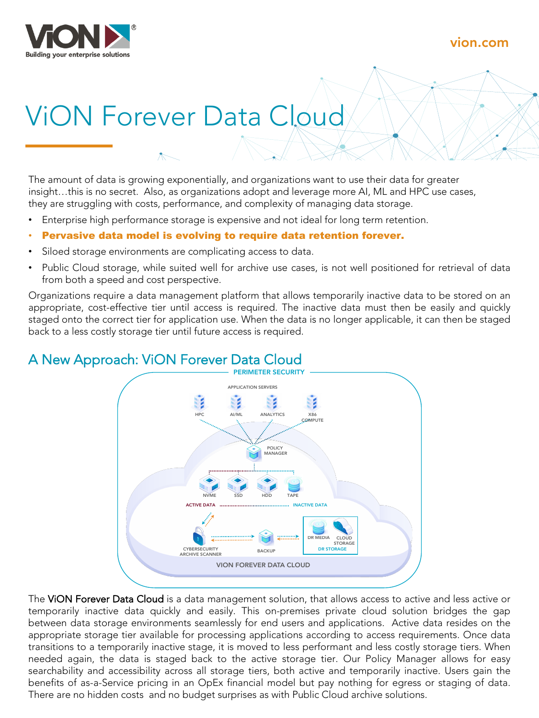

# vion.com

# ViON Forever Data Cloud

The amount of data is growing exponentially, and organizations want to use their data for greater insight…this is no secret. Also, as organizations adopt and leverage more AI, ML and HPC use cases, they are struggling with costs, performance, and complexity of managing data storage.

- Enterprise high performance storage is expensive and not ideal for long term retention.
- Pervasive data model is evolving to require data retention forever.
- Siloed storage environments are complicating access to data.
- Public Cloud storage, while suited well for archive use cases, is not well positioned for retrieval of data from both a speed and cost perspective.

Organizations require a data management platform that allows temporarily inactive data to be stored on an appropriate, cost-effective tier until access is required. The inactive data must then be easily and quickly staged onto the correct tier for application use. When the data is no longer applicable, it can then be staged back to a less costly storage tier until future access is required.

# A New Approach: ViON Forever Data Cloud



The VION Forever Data Cloud is a data management solution, that allows access to active and less active or temporarily inactive data quickly and easily. This on-premises private cloud solution bridges the gap between data storage environments seamlessly for end users and applications. Active data resides on the appropriate storage tier available for processing applications according to access requirements. Once data transitions to a temporarily inactive stage, it is moved to less performant and less costly storage tiers. When needed again, the data is staged back to the active storage tier. Our Policy Manager allows for easy searchability and accessibility across all storage tiers, both active and temporarily inactive. Users gain the benefits of as-a-Service pricing in an OpEx financial model but pay nothing for egress or staging of data. There are no hidden costs and no budget surprises as with Public Cloud archive solutions.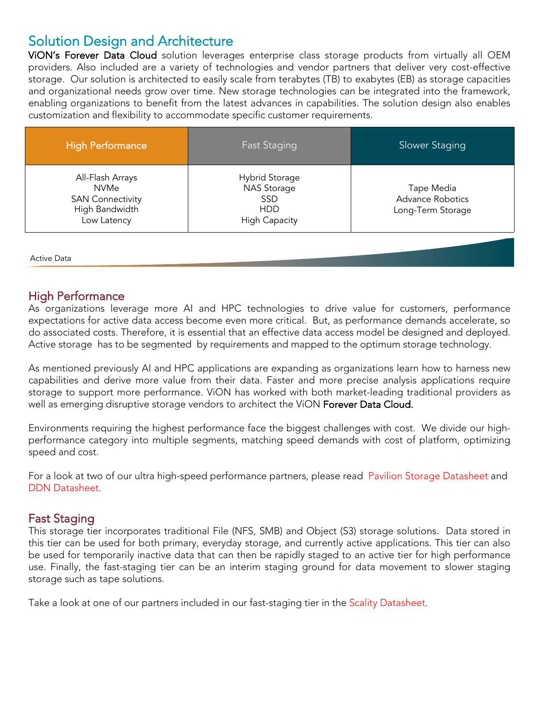# Solution Design and Architecture

ViON's Forever Data Cloud solution leverages enterprise class storage products from virtually all OEM providers. Also included are a variety of technologies and vendor partners that deliver very cost-effective storage. Our solution is architected to easily scale from terabytes (TB) to exabytes (EB) as storage capacities and organizational needs grow over time. New storage technologies can be integrated into the framework, enabling organizations to benefit from the latest advances in capabilities. The solution design also enables customization and flexibility to accommodate specific customer requirements.

| <b>High Performance</b>                                                                     | <b>Fast Staging</b>                                                                      | Slower Staging                                             |
|---------------------------------------------------------------------------------------------|------------------------------------------------------------------------------------------|------------------------------------------------------------|
| All-Flash Arrays<br><b>NVMe</b><br><b>SAN Connectivity</b><br>High Bandwidth<br>Low Latency | <b>Hybrid Storage</b><br><b>NAS Storage</b><br><b>SSD</b><br>HDD<br><b>High Capacity</b> | Tape Media<br><b>Advance Robotics</b><br>Long-Term Storage |

Active Data Inaction of the United States of the United States of the United States of the United States of the U

### High Performance

As organizations leverage more AI and HPC technologies to drive value for customers, performance expectations for active data access become even more critical. But, as performance demands accelerate, so do associated costs. Therefore, it is essential that an effective data access model be designed and deployed. Active storage has to be segmented by requirements and mapped to the optimum storage technology.

As mentioned previously AI and HPC applications are expanding as organizations learn how to harness new capabilities and derive more value from their data. Faster and more precise analysis applications require storage to support more performance. ViON has worked with both market-leading traditional providers as well as emerging disruptive storage vendors to architect the ViON Forever Data Cloud.

Environments requiring the highest performance face the biggest challenges with cost. We divide our highperformance category into multiple segments, matching speed demands with cost of platform, optimizing speed and cost.

For a look at two of our ultra high-speed performance partners, please read Pavilion Storage Datasheet and DDN Datasheet.

### Fast Staging

This storage tier incorporates traditional File (NFS, SMB) and Object (S3) storage solutions. Data stored in this tier can be used for both primary, everyday storage, and currently active applications. This tier can also be used for temporarily inactive data that can then be rapidly staged to an active tier for high performance use. Finally, the fast-staging tier can be an interim staging ground for data movement to slower staging storage such as tape solutions.

Take a look at one of our partners included in our fast-staging tier in the Scality Datasheet.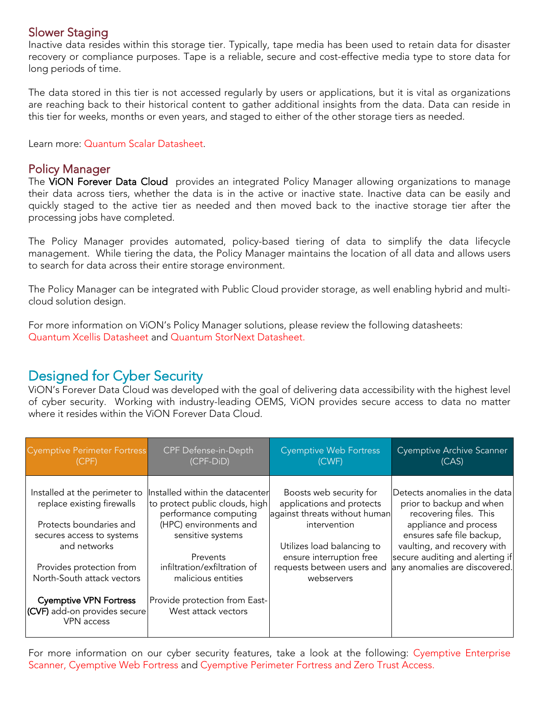# Slower Staging

Inactive data resides within this storage tier. Typically, tape media has been used to retain data for disaster recovery or compliance purposes. Tape is a reliable, secure and cost-effective media type to store data for long periods of time.

The data stored in this tier is not accessed regularly by users or applications, but it is vital as organizations are reaching back to their historical content to gather additional insights from the data. Data can reside in this tier for weeks, months or even years, and staged to either of the other storage tiers as needed.

Learn more: Quantum Scalar Datasheet.

### Policy Manager

The VION Forever Data Cloud provides an integrated Policy Manager allowing organizations to manage their data across tiers, whether the data is in the active or inactive state. Inactive data can be easily and quickly staged to the active tier as needed and then moved back to the inactive storage tier after the processing jobs have completed.

The Policy Manager provides automated, policy-based tiering of data to simplify the data lifecycle management. While tiering the data, the Policy Manager maintains the location of all data and allows users to search for data across their entire storage environment.

The Policy Manager can be integrated with Public Cloud provider storage, as well enabling hybrid and multicloud solution design.

For more information on ViON's Policy Manager solutions, please review the following datasheets: Quantum Xcellis Datasheet and Quantum StorNext Datasheet.

# Designed for Cyber Security

ViON's Forever Data Cloud was developed with the goal of delivering data accessibility with the highest level of cyber security. Working with industry-leading OEMS, ViON provides secure access to data no matter where it resides within the ViON Forever Data Cloud.

| <b>Cyemptive Perimeter Fortress</b>                                                                                                                                                                                                                                                 | CPF Defense-in-Depth                                                                                                                                                                                                                                                | <b>Cyemptive Web Fortress</b>                                                                                                                                                                               | Cyemptive Archive Scanner                                                                                                                                                                                                                    |
|-------------------------------------------------------------------------------------------------------------------------------------------------------------------------------------------------------------------------------------------------------------------------------------|---------------------------------------------------------------------------------------------------------------------------------------------------------------------------------------------------------------------------------------------------------------------|-------------------------------------------------------------------------------------------------------------------------------------------------------------------------------------------------------------|----------------------------------------------------------------------------------------------------------------------------------------------------------------------------------------------------------------------------------------------|
| (CPF)                                                                                                                                                                                                                                                                               | $(CPF-DiD)$                                                                                                                                                                                                                                                         | (CWF)                                                                                                                                                                                                       | (CAS)                                                                                                                                                                                                                                        |
| Installed at the perimeter to<br>replace existing firewalls<br>Protects boundaries and<br>secures access to systems<br>and networks<br>Provides protection from<br>North-South attack vectors<br><b>Cyemptive VPN Fortress</b><br>(CVF) add-on provides secure<br><b>VPN</b> access | Installed within the datacenter<br>to protect public clouds, high<br>performance computing<br>(HPC) environments and<br>sensitive systems<br>Prevents<br>infiltration/exfiltration of<br>malicious entities<br>Provide protection from East-<br>West attack vectors | Boosts web security for<br>applications and protects<br>against threats without human<br>intervention<br>Utilizes load balancing to<br>ensure interruption free<br>requests between users and<br>webservers | Detects anomalies in the data<br>prior to backup and when<br>recovering files. This<br>appliance and process<br>ensures safe file backup,<br>vaulting, and recovery with<br>secure auditing and alerting if<br>any anomalies are discovered. |

For more information on our cyber security features, take a look at the following: Cyemptive Enterprise Scanner, Cyemptive Web Fortress and Cyemptive Perimeter Fortress and Zero Trust Access.